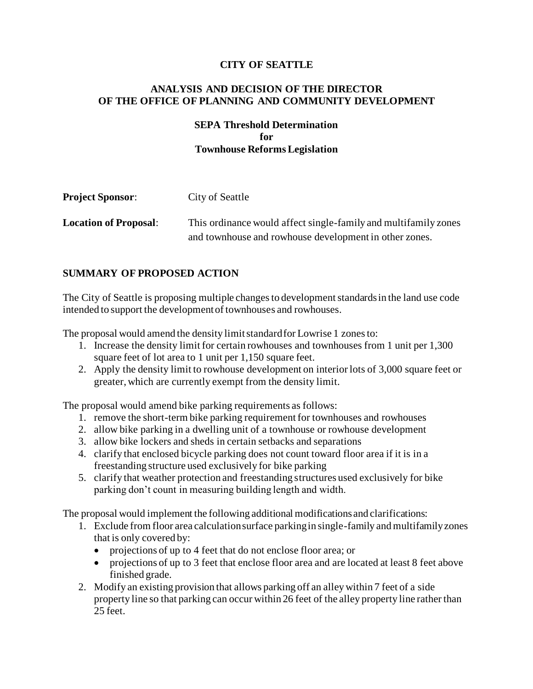## **CITY OF SEATTLE**

### **ANALYSIS AND DECISION OF THE DIRECTOR OF THE OFFICE OF PLANNING AND COMMUNITY DEVELOPMENT**

# **SEPA Threshold Determination for Townhouse Reforms Legislation**

| <b>Project Sponsor:</b>      | City of Seattle                                                 |
|------------------------------|-----------------------------------------------------------------|
| <b>Location of Proposal:</b> | This ordinance would affect single-family and multifamily zones |
|                              | and townhouse and rowhouse development in other zones.          |

# **SUMMARY OF PROPOSED ACTION**

The City of Seattle is proposing multiple changes to development standards in the land use code intended to support the development of townhouses and rowhouses.

The proposal would amend the density limit standard for Lowrise 1 zones to:

- 1. Increase the density limit for certain rowhouses and townhouses from 1 unit per 1,300 square feet of lot area to 1 unit per 1,150 square feet.
- 2. Apply the density limit to rowhouse development on interior lots of 3,000 square feet or greater, which are currently exempt from the density limit.

The proposal would amend bike parking requirements as follows:

- 1. remove the short-term bike parking requirement for townhouses and rowhouses
- 2. allow bike parking in a dwelling unit of a townhouse or rowhouse development
- 3. allow bike lockers and sheds in certain setbacks and separations
- 4. clarify that enclosed bicycle parking does not count toward floor area if it is in a freestanding structure used exclusively for bike parking
- 5. clarify that weather protection and freestanding structures used exclusively for bike parking don't count in measuring building length and width.

The proposal would implement the following additional modifications and clarifications:

- 1. Exclude from floor area calculation surface parking in single-family and multifamily zones that is only covered by:
	- projections of up to 4 feet that do not enclose floor area; or
	- projections of up to 3 feet that enclose floor area and are located at least 8 feet above finished grade.
- 2. Modify an existing provision that allows parking off an alley within 7 feet of a side property line so that parking can occur within 26 feet of the alley property line rather than 25 feet.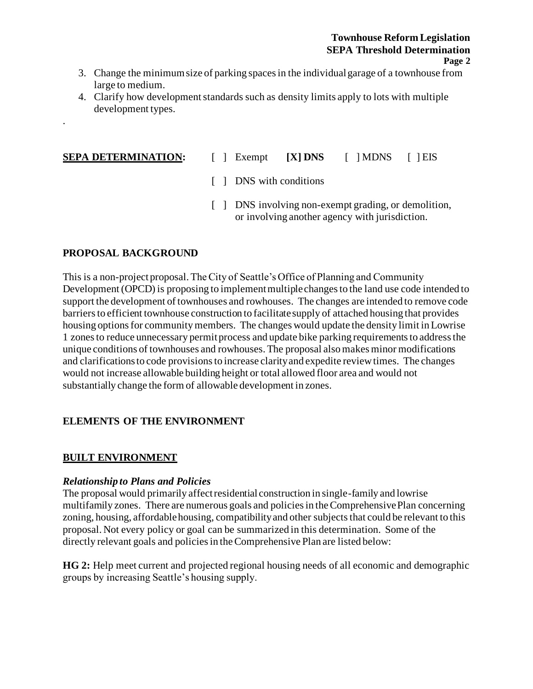- 3. Change the minimum size of parking spaces in the individual garage of a townhouse from large to medium.
- 4. Clarify how development standards such as density limits apply to lots with multiple development types.

.

# **SEPA DETERMINATION:** [ ] Exempt **[X] DNS** [ ] MDNS [ ] EIS

- [ ] DNS with conditions
- [ ] DNS involving non-exempt grading, or demolition, or involving another agency with jurisdiction.

## **PROPOSAL BACKGROUND**

This is a non-project proposal. The City of Seattle's Office of Planning and Community Development (OPCD) is proposing to implement multiple changes to the land use code intended to support the development of townhouses and rowhouses. The changes are intended to remove code barriers to efficient townhouse construction to facilitate supply of attached housing that provides housing options for community members. The changes would update the density limit in Lowrise 1 zones to reduce unnecessary permit process and update bike parking requirements to address the unique conditions of townhouses and rowhouses. The proposal also makes minor modifications and clarificationsto code provisions to increase clarity and expedite review times. The changes would not increase allowable building height or total allowed floor area and would not substantially change the form of allowable development in zones.

# **ELEMENTS OF THE ENVIRONMENT**

#### **BUILT ENVIRONMENT**

#### *Relationship to Plans and Policies*

The proposal would primarily affect residential construction in single-family and lowrise multifamily zones. There are numerous goals and policies in the Comprehensive Plan concerning zoning, housing, affordable housing, compatibility and other subjects that could be relevant to this proposal. Not every policy or goal can be summarized in this determination. Some of the directly relevant goals and policies in the Comprehensive Plan are listed below:

**HG 2:** Help meet current and projected regional housing needs of all economic and demographic groups by increasing Seattle's housing supply.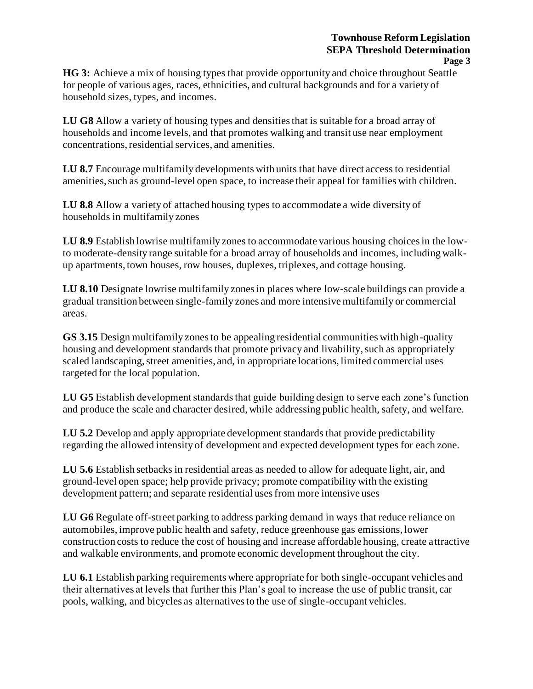**HG 3:** Achieve a mix of housing types that provide opportunity and choice throughout Seattle for people of various ages, races, ethnicities, and cultural backgrounds and for a variety of household sizes, types, and incomes.

**LU G8** Allow a variety of housing types and densities that is suitable for a broad array of households and income levels, and that promotes walking and transit use near employment concentrations, residential services, and amenities.

**LU 8.7** Encourage multifamily developments with units that have direct access to residential amenities, such as ground-level open space, to increase their appeal for families with children.

**LU 8.8** Allow a variety of attached housing types to accommodate a wide diversity of households in multifamily zones

**LU 8.9** Establish lowrise multifamily zones to accommodate various housing choices in the lowto moderate-density range suitable for a broad array of households and incomes, including walkup apartments, town houses, row houses, duplexes, triplexes, and cottage housing.

**LU 8.10** Designate lowrise multifamily zones in places where low-scale buildings can provide a gradual transition between single-family zones and more intensive multifamily or commercial areas.

**GS 3.15** Design multifamily zones to be appealing residential communities with high-quality housing and development standards that promote privacy and livability, such as appropriately scaled landscaping, street amenities, and, in appropriate locations, limited commercial uses targeted for the local population.

**LU G5** Establish development standards that guide building design to serve each zone's function and produce the scale and character desired, while addressing public health, safety, and welfare.

**LU 5.2** Develop and apply appropriate development standards that provide predictability regarding the allowed intensity of development and expected development types for each zone.

**LU 5.6** Establish setbacks in residential areas as needed to allow for adequate light, air, and ground-level open space; help provide privacy; promote compatibility with the existing development pattern; and separate residential uses from more intensive uses

**LU G6** Regulate off-street parking to address parking demand in ways that reduce reliance on automobiles, improve public health and safety, reduce greenhouse gas emissions, lower construction costs to reduce the cost of housing and increase affordable housing, create attractive and walkable environments, and promote economic development throughout the city.

**LU 6.1** Establish parking requirements where appropriate for both single-occupant vehicles and their alternatives at levels that further this Plan's goal to increase the use of public transit, car pools, walking, and bicycles as alternatives to the use of single-occupant vehicles.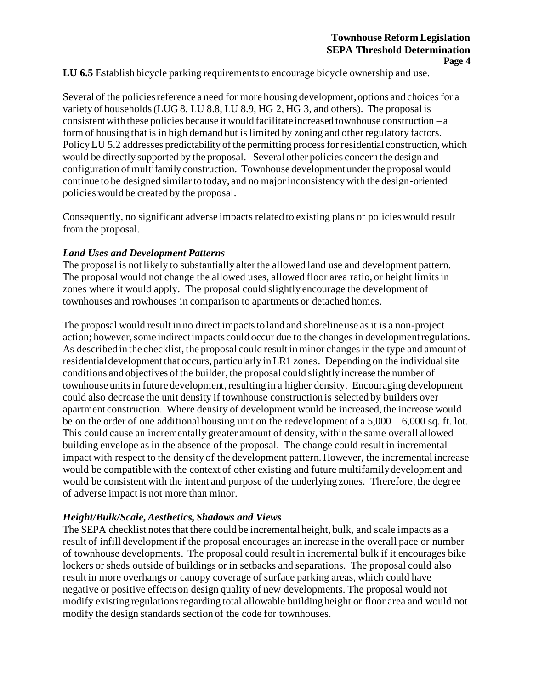**LU 6.5** Establish bicycle parking requirements to encourage bicycle ownership and use.

Several of the policies reference a need for more housing development, options and choices for a variety of households (LUG 8, LU 8.8, LU 8.9, HG 2, HG 3, and others). The proposal is consistent with these policies because it would facilitate increased townhouse construction  $-a$ form of housing that is in high demand but is limited by zoning and other regulatory factors. Policy LU 5.2 addresses predictability of the permitting process for residential construction, which would be directly supported by the proposal. Several other policies concern the design and configuration of multifamily construction. Townhouse development under the proposal would continue to be designed similar to today, and no major inconsistency with the design-oriented policies would be created by the proposal.

Consequently, no significant adverse impacts related to existing plans or policies would result from the proposal.

# *Land Uses and Development Patterns*

The proposal is not likely to substantially alter the allowed land use and development pattern. The proposal would not change the allowed uses, allowed floor area ratio, or height limits in zones where it would apply. The proposal could slightly encourage the development of townhouses and rowhouses in comparison to apartments or detached homes.

The proposal would result in no direct impacts to land and shoreline use as it is a non-project action; however, some indirect impacts could occur due to the changes in development regulations. As described in the checklist, the proposal could result in minor changes in the type and amount of residential development that occurs, particularly in LR1 zones. Depending on the individual site conditions and objectives of the builder, the proposal could slightly increase the number of townhouse units in future development, resulting in a higher density. Encouraging development could also decrease the unit density if townhouse construction is selected by builders over apartment construction. Where density of development would be increased, the increase would be on the order of one additional housing unit on the redevelopment of a 5,000 – 6,000 sq. ft. lot. This could cause an incrementally greater amount of density, within the same overall allowed building envelope as in the absence of the proposal. The change could result in incremental impact with respect to the density of the development pattern. However, the incremental increase would be compatible with the context of other existing and future multifamily development and would be consistent with the intent and purpose of the underlying zones. Therefore, the degree of adverse impact is not more than minor.

# *Height/Bulk/Scale, Aesthetics, Shadows and Views*

The SEPA checklist notes that there could be incremental height, bulk, and scale impacts as a result of infill development if the proposal encourages an increase in the overall pace or number of townhouse developments. The proposal could result in incremental bulk if it encourages bike lockers or sheds outside of buildings or in setbacks and separations. The proposal could also result in more overhangs or canopy coverage of surface parking areas, which could have negative or positive effects on design quality of new developments. The proposal would not modify existing regulations regarding total allowable building height or floor area and would not modify the design standards section of the code for townhouses.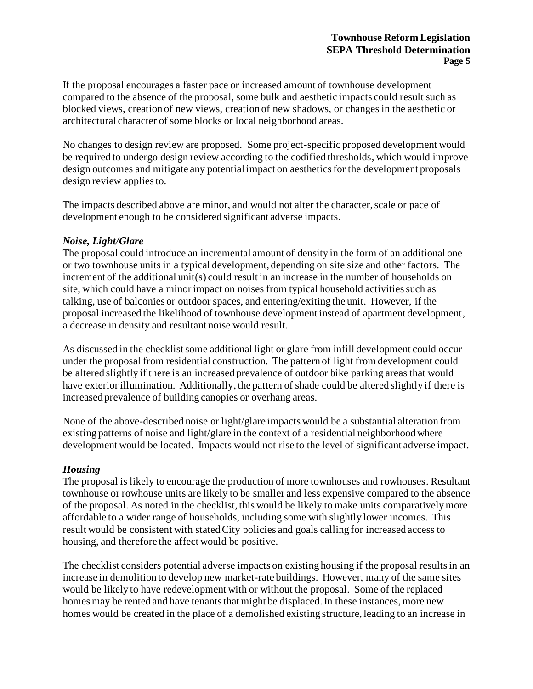If the proposal encourages a faster pace or increased amount of townhouse development compared to the absence of the proposal, some bulk and aesthetic impacts could result such as blocked views, creation of new views, creation of new shadows, or changes in the aesthetic or architectural character of some blocks or local neighborhood areas.

No changes to design review are proposed. Some project-specific proposed development would be required to undergo design review according to the codified thresholds, which would improve design outcomes and mitigate any potential impact on aesthetics for the development proposals design review applies to.

The impacts described above are minor, and would not alter the character, scale or pace of development enough to be considered significant adverse impacts.

## *Noise, Light/Glare*

The proposal could introduce an incremental amount of density in the form of an additional one or two townhouse units in a typical development, depending on site size and other factors. The increment of the additional unit(s) could result in an increase in the number of households on site, which could have a minor impact on noises from typical household activities such as talking, use of balconies or outdoor spaces, and entering/exiting the unit. However, if the proposal increased the likelihood of townhouse development instead of apartment development, a decrease in density and resultant noise would result.

As discussed in the checklist some additional light or glare from infill development could occur under the proposal from residential construction. The pattern of light from development could be altered slightly if there is an increased prevalence of outdoor bike parking areas that would have exterior illumination. Additionally, the pattern of shade could be altered slightly if there is increased prevalence of building canopies or overhang areas.

None of the above-described noise or light/glare impacts would be a substantial alteration from existing patterns of noise and light/glare in the context of a residential neighborhood where development would be located. Impacts would not rise to the level of significant adverse impact.

#### *Housing*

The proposal is likely to encourage the production of more townhouses and rowhouses. Resultant townhouse or rowhouse units are likely to be smaller and less expensive compared to the absence of the proposal. As noted in the checklist, this would be likely to make units comparatively more affordable to a wider range of households, including some with slightly lower incomes. This result would be consistent with stated City policies and goals calling for increased access to housing, and therefore the affect would be positive.

The checklist considers potential adverse impacts on existing housing if the proposal results in an increase in demolition to develop new market-rate buildings. However, many of the same sites would be likely to have redevelopment with or without the proposal. Some of the replaced homes may be rented and have tenants that might be displaced. In these instances, more new homes would be created in the place of a demolished existing structure, leading to an increase in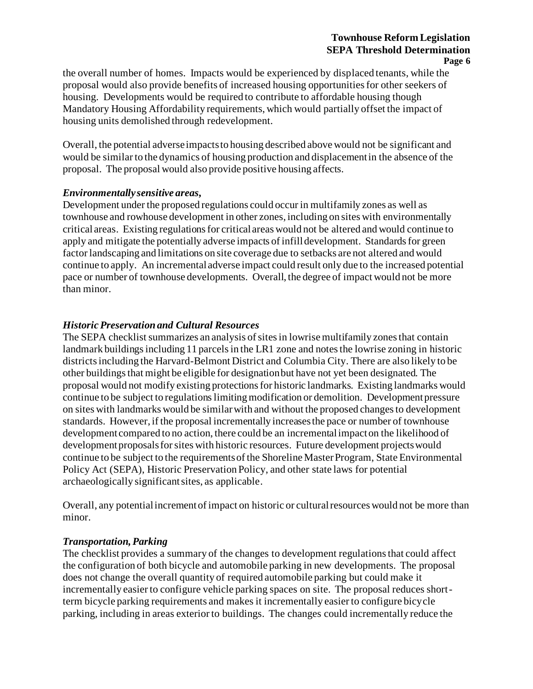#### **Townhouse Reform Legislation SEPA Threshold Determination Page 6**

the overall number of homes. Impacts would be experienced by displaced tenants, while the proposal would also provide benefits of increased housing opportunities for other seekers of housing. Developments would be required to contribute to affordable housing though Mandatory Housing Affordability requirements, which would partially offset the impact of housing units demolished through redevelopment.

Overall, the potential adverse impacts to housing described above would not be significant and would be similar to the dynamics of housing production and displacement in the absence of the proposal. The proposal would also provide positive housing affects.

## *Environmentally sensitive areas,*

Development under the proposed regulations could occur in multifamily zones as well as townhouse and rowhouse development in other zones, including on sites with environmentally critical areas. Existing regulations for critical areas would not be altered and would continue to apply and mitigate the potentially adverse impacts of infill development. Standards for green factor landscaping and limitations on site coverage due to setbacks are not altered and would continue to apply. An incremental adverse impact could result only due to the increased potential pace or number of townhouse developments. Overall, the degree of impact would not be more than minor.

# *Historic Preservation and Cultural Resources*

The SEPA checklist summarizes an analysis of sites in lowrise multifamily zones that contain landmark buildings including 11 parcels in the LR1 zone and notes the lowrise zoning in historic districts including the Harvard-Belmont District and Columbia City. There are also likely to be other buildings that might be eligible for designation but have not yet been designated. The proposal would not modify existing protections for historic landmarks. Existing landmarks would continue to be subject to regulations limiting modification or demolition. Development pressure on sites with landmarks would be similar with and without the proposed changes to development standards. However, if the proposal incrementally increases the pace or number of townhouse development compared to no action, there could be an incremental impact on the likelihood of development proposals for sites with historic resources. Future development projects would continue to be subject to the requirements of the Shoreline Master Program, State Environmental Policy Act (SEPA), Historic Preservation Policy, and other state laws for potential archaeologically significant sites, as applicable.

Overall, any potential increment of impact on historic or cultural resourceswould not be more than minor.

#### *Transportation, Parking*

The checklist provides a summary of the changes to development regulations that could affect the configuration of both bicycle and automobile parking in new developments. The proposal does not change the overall quantity of required automobile parking but could make it incrementally easier to configure vehicle parking spaces on site. The proposal reduces shortterm bicycle parking requirements and makes it incrementally easier to configure bicycle parking, including in areas exterior to buildings. The changes could incrementally reduce the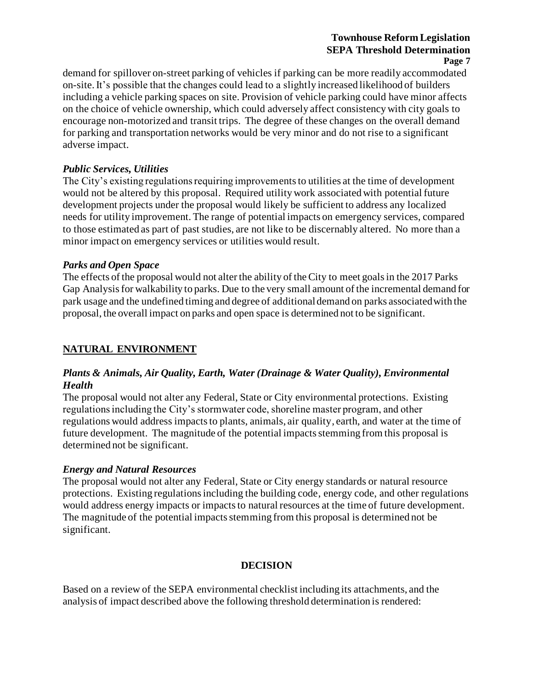## **Townhouse Reform Legislation SEPA Threshold Determination Page 7**

demand for spillover on-street parking of vehicles if parking can be more readily accommodated on-site. It's possible that the changes could lead to a slightly increased likelihood of builders including a vehicle parking spaces on site. Provision of vehicle parking could have minor affects on the choice of vehicle ownership, which could adversely affect consistency with city goals to encourage non-motorized and transit trips. The degree of these changes on the overall demand for parking and transportation networks would be very minor and do not rise to a significant adverse impact.

# *Public Services, Utilities*

The City's existing regulations requiring improvements to utilities at the time of development would not be altered by this proposal. Required utility work associated with potential future development projects under the proposal would likely be sufficient to address any localized needs for utility improvement. The range of potential impacts on emergency services, compared to those estimated as part of past studies, are not like to be discernably altered. No more than a minor impact on emergency services or utilities would result.

## *Parks and Open Space*

The effects of the proposal would not alter the ability of the City to meet goals in the 2017 Parks Gap Analysis for walkability to parks. Due to the very small amount of the incremental demand for park usage and the undefined timing and degree of additional demand on parks associated with the proposal, the overall impact on parks and open space is determined not to be significant.

# **NATURAL ENVIRONMENT**

# *Plants & Animals, Air Quality, Earth, Water (Drainage & Water Quality), Environmental Health*

The proposal would not alter any Federal, State or City environmental protections. Existing regulations including the City's stormwater code, shoreline master program, and other regulations would address impacts to plants, animals, air quality, earth, and water at the time of future development. The magnitude of the potential impacts stemming from this proposal is determined not be significant.

# *Energy and Natural Resources*

The proposal would not alter any Federal, State or City energy standards or natural resource protections. Existing regulations including the building code, energy code, and other regulations would address energy impacts or impacts to natural resources at the time of future development. The magnitude of the potential impacts stemming from this proposal is determined not be significant.

# **DECISION**

Based on a review of the SEPA environmental checklist including its attachments, and the analysis of impact described above the following threshold determination is rendered: